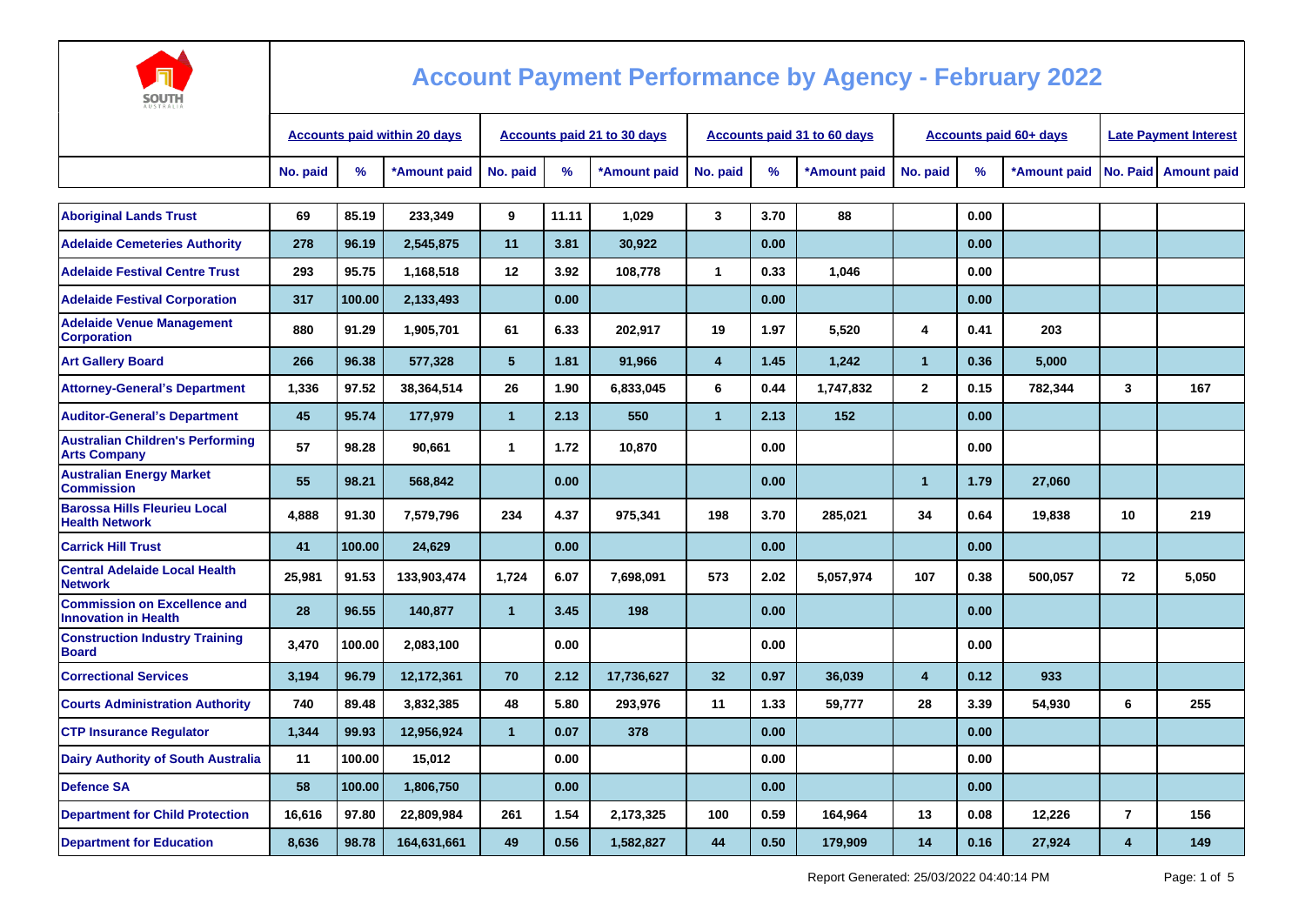

| <b>AUSTRALIA</b>                                                   |                                     |        |              |                             |       |              |                         |      |                             |                         |                               |                              |                  |                        |
|--------------------------------------------------------------------|-------------------------------------|--------|--------------|-----------------------------|-------|--------------|-------------------------|------|-----------------------------|-------------------------|-------------------------------|------------------------------|------------------|------------------------|
|                                                                    | <b>Accounts paid within 20 days</b> |        |              | Accounts paid 21 to 30 days |       |              |                         |      | Accounts paid 31 to 60 days |                         | <b>Accounts paid 60+ days</b> | <b>Late Payment Interest</b> |                  |                        |
|                                                                    | No. paid                            | %      | *Amount paid | No. paid                    | %     | *Amount paid | No. paid                | $\%$ | *Amount paid                | No. paid                | %                             | *Amount paid                 |                  | No. Paid   Amount paid |
| <b>Aboriginal Lands Trust</b>                                      | 69                                  | 85.19  | 233,349      | 9                           | 11.11 | 1,029        | 3                       | 3.70 | 88                          |                         | 0.00                          |                              |                  |                        |
| <b>Adelaide Cemeteries Authority</b>                               | 278                                 | 96.19  | 2,545,875    | 11                          | 3.81  | 30,922       |                         | 0.00 |                             |                         | 0.00                          |                              |                  |                        |
| <b>Adelaide Festival Centre Trust</b>                              | 293                                 | 95.75  | 1,168,518    | 12                          | 3.92  | 108,778      | $\mathbf{1}$            | 0.33 | 1,046                       |                         | 0.00                          |                              |                  |                        |
| <b>Adelaide Festival Corporation</b>                               | 317                                 | 100.00 | 2,133,493    |                             | 0.00  |              |                         | 0.00 |                             |                         | 0.00                          |                              |                  |                        |
| <b>Adelaide Venue Management</b><br><b>Corporation</b>             | 880                                 | 91.29  | 1,905,701    | 61                          | 6.33  | 202,917      | 19                      | 1.97 | 5,520                       | 4                       | 0.41                          | 203                          |                  |                        |
| <b>Art Gallery Board</b>                                           | 266                                 | 96.38  | 577,328      | 5 <sup>5</sup>              | 1.81  | 91,966       | $\overline{\mathbf{4}}$ | 1.45 | 1,242                       | $\mathbf{1}$            | 0.36                          | 5,000                        |                  |                        |
| <b>Attorney-General's Department</b>                               | 1,336                               | 97.52  | 38,364,514   | 26                          | 1.90  | 6,833,045    | 6                       | 0.44 | 1,747,832                   | $\overline{2}$          | 0.15                          | 782,344                      | 3                | 167                    |
| <b>Auditor-General's Department</b>                                | 45                                  | 95.74  | 177,979      | $\overline{1}$              | 2.13  | 550          | $\mathbf{1}$            | 2.13 | 152                         |                         | 0.00                          |                              |                  |                        |
| <b>Australian Children's Performing</b><br><b>Arts Company</b>     | 57                                  | 98.28  | 90,661       | 1                           | 1.72  | 10,870       |                         | 0.00 |                             |                         | 0.00                          |                              |                  |                        |
| <b>Australian Energy Market</b><br><b>Commission</b>               | 55                                  | 98.21  | 568.842      |                             | 0.00  |              |                         | 0.00 |                             | $\blacktriangleleft$    | 1.79                          | 27,060                       |                  |                        |
| <b>Barossa Hills Fleurieu Local</b><br><b>Health Network</b>       | 4,888                               | 91.30  | 7,579,796    | 234                         | 4.37  | 975,341      | 198                     | 3.70 | 285,021                     | 34                      | 0.64                          | 19,838                       | 10               | 219                    |
| <b>Carrick Hill Trust</b>                                          | 41                                  | 100.00 | 24,629       |                             | 0.00  |              |                         | 0.00 |                             |                         | 0.00                          |                              |                  |                        |
| <b>Central Adelaide Local Health</b><br><b>Network</b>             | 25,981                              | 91.53  | 133,903,474  | 1,724                       | 6.07  | 7,698,091    | 573                     | 2.02 | 5,057,974                   | 107                     | 0.38                          | 500,057                      | 72               | 5,050                  |
| <b>Commission on Excellence and</b><br><b>Innovation in Health</b> | 28                                  | 96.55  | 140,877      | $\mathbf{1}$                | 3.45  | 198          |                         | 0.00 |                             |                         | 0.00                          |                              |                  |                        |
| <b>Construction Industry Training</b><br><b>Board</b>              | 3,470                               | 100.00 | 2,083,100    |                             | 0.00  |              |                         | 0.00 |                             |                         | 0.00                          |                              |                  |                        |
| <b>Correctional Services</b>                                       | 3,194                               | 96.79  | 12,172,361   | 70                          | 2.12  | 17,736,627   | 32 <sub>2</sub>         | 0.97 | 36,039                      | $\overline{\mathbf{4}}$ | 0.12                          | 933                          |                  |                        |
| <b>Courts Administration Authority</b>                             | 740                                 | 89.48  | 3,832,385    | 48                          | 5.80  | 293,976      | 11                      | 1.33 | 59,777                      | 28                      | 3.39                          | 54,930                       | 6                | 255                    |
| <b>CTP Insurance Regulator</b>                                     | 1,344                               | 99.93  | 12,956,924   | $\mathbf{1}$                | 0.07  | 378          |                         | 0.00 |                             |                         | 0.00                          |                              |                  |                        |
| <b>Dairy Authority of South Australia</b>                          | 11                                  | 100.00 | 15,012       |                             | 0.00  |              |                         | 0.00 |                             |                         | 0.00                          |                              |                  |                        |
| <b>Defence SA</b>                                                  | 58                                  | 100.00 | 1,806,750    |                             | 0.00  |              |                         | 0.00 |                             |                         | 0.00                          |                              |                  |                        |
| <b>Department for Child Protection</b>                             | 16,616                              | 97.80  | 22,809,984   | 261                         | 1.54  | 2,173,325    | 100                     | 0.59 | 164,964                     | 13                      | 0.08                          | 12,226                       | $\overline{7}$   | 156                    |
| <b>Department for Education</b>                                    | 8,636                               | 98.78  | 164,631,661  | 49                          | 0.56  | 1,582,827    | 44                      | 0.50 | 179,909                     | 14                      | 0.16                          | 27,924                       | $\boldsymbol{4}$ | 149                    |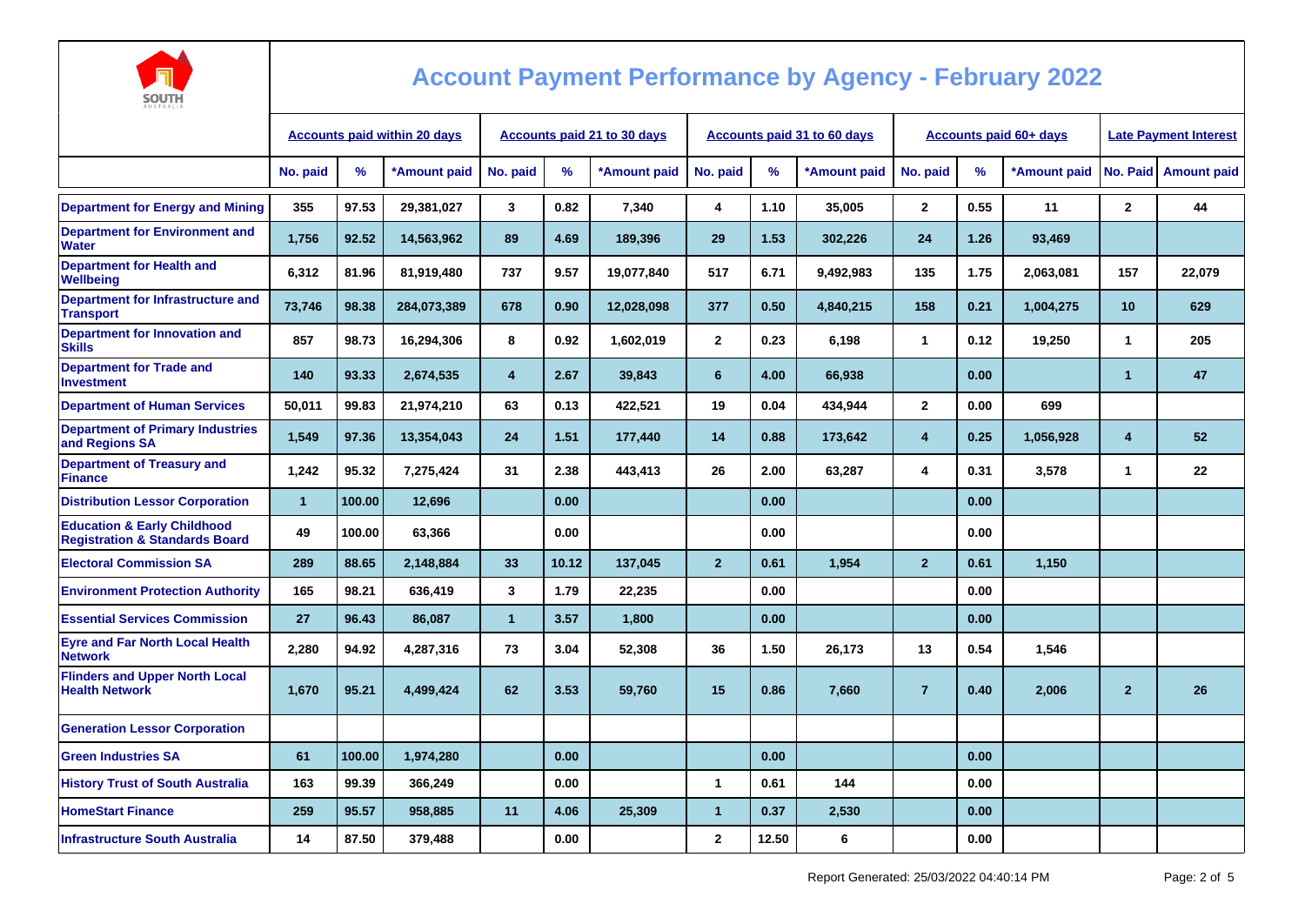

| AUSTRALIA                                                                           |                                     |        |              |                                    |       |              |                |       |                                    |                |                               |                              |                |                    |
|-------------------------------------------------------------------------------------|-------------------------------------|--------|--------------|------------------------------------|-------|--------------|----------------|-------|------------------------------------|----------------|-------------------------------|------------------------------|----------------|--------------------|
|                                                                                     | <b>Accounts paid within 20 days</b> |        |              | <b>Accounts paid 21 to 30 days</b> |       |              |                |       | <b>Accounts paid 31 to 60 days</b> |                | <b>Accounts paid 60+ days</b> | <b>Late Payment Interest</b> |                |                    |
|                                                                                     | No. paid                            | %      | *Amount paid | No. paid                           | %     | *Amount paid | No. paid       | %     | *Amount paid                       | No. paid       | %                             | *Amount paid                 | No. Paid       | <b>Amount paid</b> |
| <b>Department for Energy and Mining</b>                                             | 355                                 | 97.53  | 29,381,027   | 3                                  | 0.82  | 7,340        | 4              | 1.10  | 35,005                             | $\mathbf{2}$   | 0.55                          | 11                           | $\overline{2}$ | 44                 |
| <b>Department for Environment and</b><br><b>Water</b>                               | 1,756                               | 92.52  | 14,563,962   | 89                                 | 4.69  | 189,396      | 29             | 1.53  | 302,226                            | 24             | 1.26                          | 93,469                       |                |                    |
| <b>Department for Health and</b><br>Wellbeing                                       | 6,312                               | 81.96  | 81,919,480   | 737                                | 9.57  | 19,077,840   | 517            | 6.71  | 9,492,983                          | 135            | 1.75                          | 2,063,081                    | 157            | 22,079             |
| Department for Infrastructure and<br><b>Transport</b>                               | 73,746                              | 98.38  | 284,073,389  | 678                                | 0.90  | 12,028,098   | 377            | 0.50  | 4,840,215                          | 158            | 0.21                          | 1,004,275                    | 10             | 629                |
| <b>Department for Innovation and</b><br><b>Skills</b>                               | 857                                 | 98.73  | 16,294,306   | 8                                  | 0.92  | 1,602,019    | $\mathbf{2}$   | 0.23  | 6.198                              | $\mathbf{1}$   | 0.12                          | 19,250                       | $\mathbf{1}$   | 205                |
| <b>Department for Trade and</b><br><b>Investment</b>                                | 140                                 | 93.33  | 2,674,535    | $\overline{\mathbf{4}}$            | 2.67  | 39,843       | 6              | 4.00  | 66,938                             |                | 0.00                          |                              | $\mathbf{1}$   | 47                 |
| <b>Department of Human Services</b>                                                 | 50,011                              | 99.83  | 21,974,210   | 63                                 | 0.13  | 422,521      | 19             | 0.04  | 434,944                            | $\mathbf{2}$   | 0.00                          | 699                          |                |                    |
| <b>Department of Primary Industries</b><br>and Regions SA                           | 1,549                               | 97.36  | 13,354,043   | 24                                 | 1.51  | 177,440      | 14             | 0.88  | 173,642                            | 4              | 0.25                          | 1,056,928                    | 4              | 52                 |
| <b>Department of Treasury and</b><br><b>Finance</b>                                 | 1,242                               | 95.32  | 7,275,424    | 31                                 | 2.38  | 443,413      | 26             | 2.00  | 63,287                             | 4              | 0.31                          | 3,578                        | 1              | 22                 |
| <b>Distribution Lessor Corporation</b>                                              | $\overline{1}$                      | 100.00 | 12,696       |                                    | 0.00  |              |                | 0.00  |                                    |                | 0.00                          |                              |                |                    |
| <b>Education &amp; Early Childhood</b><br><b>Registration &amp; Standards Board</b> | 49                                  | 100.00 | 63,366       |                                    | 0.00  |              |                | 0.00  |                                    |                | 0.00                          |                              |                |                    |
| <b>Electoral Commission SA</b>                                                      | 289                                 | 88.65  | 2,148,884    | 33                                 | 10.12 | 137,045      | $\overline{2}$ | 0.61  | 1,954                              | $\mathbf{2}$   | 0.61                          | 1,150                        |                |                    |
| <b>Environment Protection Authority</b>                                             | 165                                 | 98.21  | 636,419      | 3                                  | 1.79  | 22,235       |                | 0.00  |                                    |                | 0.00                          |                              |                |                    |
| <b>Essential Services Commission</b>                                                | 27                                  | 96.43  | 86,087       | $\overline{1}$                     | 3.57  | 1,800        |                | 0.00  |                                    |                | 0.00                          |                              |                |                    |
| <b>Eyre and Far North Local Health</b><br><b>Network</b>                            | 2,280                               | 94.92  | 4,287,316    | 73                                 | 3.04  | 52,308       | 36             | 1.50  | 26,173                             | 13             | 0.54                          | 1,546                        |                |                    |
| <b>Flinders and Upper North Local</b><br><b>Health Network</b>                      | 1,670                               | 95.21  | 4,499,424    | 62                                 | 3.53  | 59,760       | 15             | 0.86  | 7,660                              | $\overline{7}$ | 0.40                          | 2,006                        | $\overline{2}$ | 26                 |
| <b>Generation Lessor Corporation</b>                                                |                                     |        |              |                                    |       |              |                |       |                                    |                |                               |                              |                |                    |
| <b>Green Industries SA</b>                                                          | 61                                  | 100.00 | 1,974,280    |                                    | 0.00  |              |                | 0.00  |                                    |                | 0.00                          |                              |                |                    |
| <b>History Trust of South Australia</b>                                             | 163                                 | 99.39  | 366,249      |                                    | 0.00  |              | 1              | 0.61  | 144                                |                | 0.00                          |                              |                |                    |
| <b>HomeStart Finance</b>                                                            | 259                                 | 95.57  | 958,885      | 11                                 | 4.06  | 25,309       | $\mathbf{1}$   | 0.37  | 2,530                              |                | 0.00                          |                              |                |                    |
| <b>Infrastructure South Australia</b>                                               | 14                                  | 87.50  | 379,488      |                                    | 0.00  |              | $\overline{2}$ | 12.50 | 6                                  |                | 0.00                          |                              |                |                    |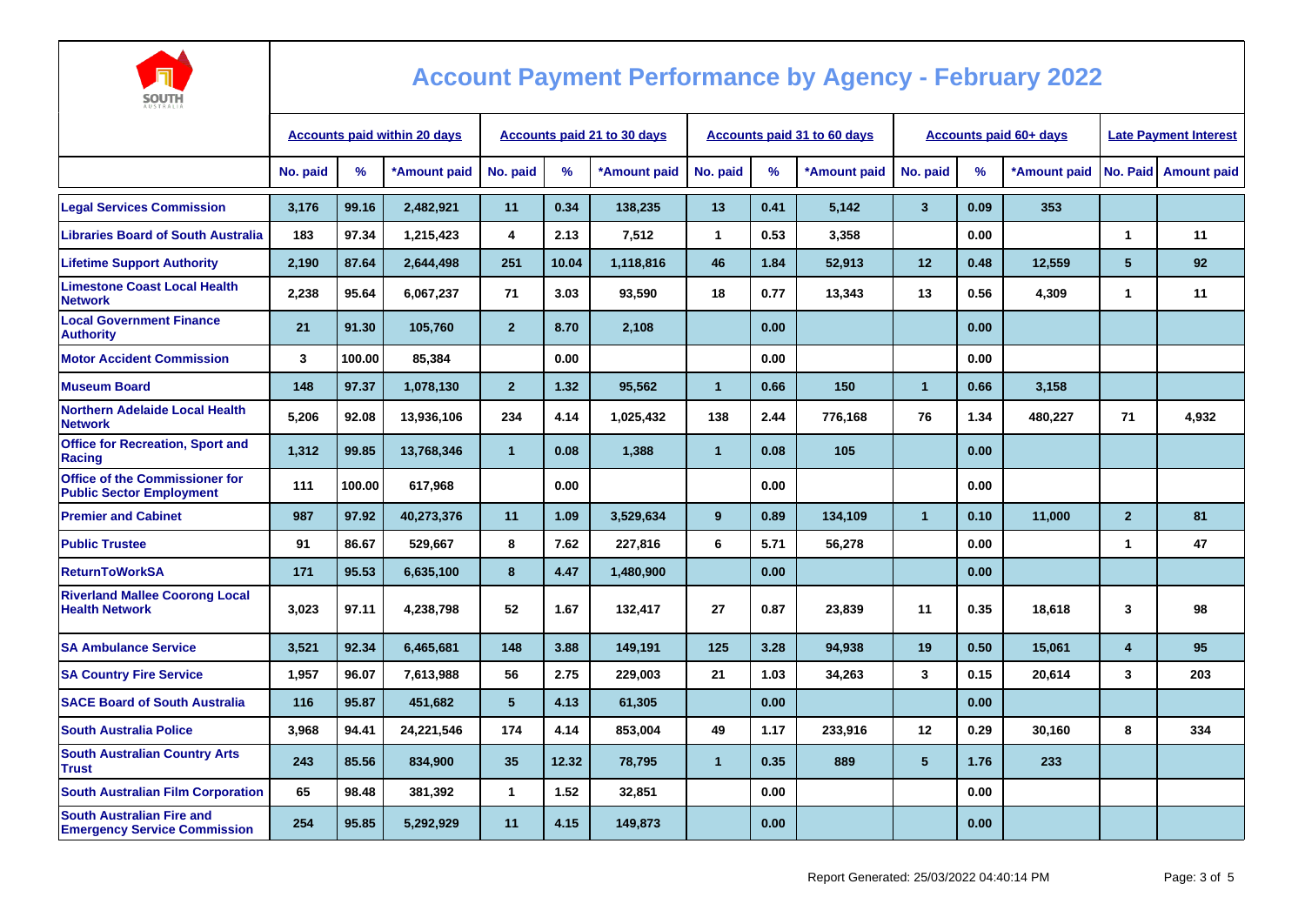

| AUSINALIA                                                                |                                     |        |              |                                    |       |              |              |      |                                    |                         |                               |                              |                         |                    |
|--------------------------------------------------------------------------|-------------------------------------|--------|--------------|------------------------------------|-------|--------------|--------------|------|------------------------------------|-------------------------|-------------------------------|------------------------------|-------------------------|--------------------|
|                                                                          | <b>Accounts paid within 20 days</b> |        |              | <b>Accounts paid 21 to 30 days</b> |       |              |              |      | <b>Accounts paid 31 to 60 days</b> |                         | <b>Accounts paid 60+ days</b> | <b>Late Payment Interest</b> |                         |                    |
|                                                                          | No. paid                            | %      | *Amount paid | No. paid                           | %     | *Amount paid | No. paid     | %    | *Amount paid                       | No. paid                | %                             | *Amount paid                 | No. Paid                | <b>Amount paid</b> |
| <b>Legal Services Commission</b>                                         | 3.176                               | 99.16  | 2.482.921    | 11                                 | 0.34  | 138,235      | 13           | 0.41 | 5,142                              | $\overline{\mathbf{3}}$ | 0.09                          | 353                          |                         |                    |
| <b>Libraries Board of South Australia</b>                                | 183                                 | 97.34  | 1,215,423    | 4                                  | 2.13  | 7,512        | $\mathbf{1}$ | 0.53 | 3,358                              |                         | 0.00                          |                              | $\mathbf{1}$            | 11                 |
| <b>Lifetime Support Authority</b>                                        | 2.190                               | 87.64  | 2,644,498    | 251                                | 10.04 | 1,118,816    | 46           | 1.84 | 52,913                             | 12                      | 0.48                          | 12,559                       | 5                       | 92                 |
| <b>Limestone Coast Local Health</b><br><b>Network</b>                    | 2,238                               | 95.64  | 6,067,237    | 71                                 | 3.03  | 93,590       | 18           | 0.77 | 13,343                             | 13                      | 0.56                          | 4,309                        | $\mathbf{1}$            | 11                 |
| <b>Local Government Finance</b><br><b>Authority</b>                      | 21                                  | 91.30  | 105.760      | $\overline{2}$                     | 8.70  | 2,108        |              | 0.00 |                                    |                         | 0.00                          |                              |                         |                    |
| <b>Motor Accident Commission</b>                                         | 3                                   | 100.00 | 85,384       |                                    | 0.00  |              |              | 0.00 |                                    |                         | 0.00                          |                              |                         |                    |
| <b>Museum Board</b>                                                      | 148                                 | 97.37  | 1,078,130    | $\overline{2}$                     | 1.32  | 95,562       | $\mathbf{1}$ | 0.66 | 150                                | $\overline{1}$          | 0.66                          | 3,158                        |                         |                    |
| <b>Northern Adelaide Local Health</b><br><b>Network</b>                  | 5,206                               | 92.08  | 13,936,106   | 234                                | 4.14  | 1,025,432    | 138          | 2.44 | 776,168                            | 76                      | 1.34                          | 480,227                      | 71                      | 4,932              |
| <b>Office for Recreation, Sport and</b><br>Racing                        | 1,312                               | 99.85  | 13,768,346   | $\mathbf{1}$                       | 0.08  | 1,388        | $\mathbf{1}$ | 0.08 | 105                                |                         | 0.00                          |                              |                         |                    |
| <b>Office of the Commissioner for</b><br><b>Public Sector Employment</b> | $111$                               | 100.00 | 617,968      |                                    | 0.00  |              |              | 0.00 |                                    |                         | 0.00                          |                              |                         |                    |
| <b>Premier and Cabinet</b>                                               | 987                                 | 97.92  | 40,273,376   | 11                                 | 1.09  | 3,529,634    | 9            | 0.89 | 134,109                            | $\overline{1}$          | 0.10                          | 11,000                       | $\overline{2}$          | 81                 |
| <b>Public Trustee</b>                                                    | 91                                  | 86.67  | 529,667      | 8                                  | 7.62  | 227,816      | 6            | 5.71 | 56,278                             |                         | 0.00                          |                              | 1                       | 47                 |
| <b>ReturnToWorkSA</b>                                                    | 171                                 | 95.53  | 6,635,100    | 8                                  | 4.47  | 1,480,900    |              | 0.00 |                                    |                         | 0.00                          |                              |                         |                    |
| <b>Riverland Mallee Coorong Local</b><br><b>Health Network</b>           | 3.023                               | 97.11  | 4,238,798    | 52                                 | 1.67  | 132,417      | 27           | 0.87 | 23,839                             | 11                      | 0.35                          | 18,618                       | 3                       | 98                 |
| <b>SA Ambulance Service</b>                                              | 3,521                               | 92.34  | 6,465,681    | 148                                | 3.88  | 149,191      | 125          | 3.28 | 94,938                             | 19                      | 0.50                          | 15,061                       | $\overline{\mathbf{4}}$ | 95                 |
| <b>SA Country Fire Service</b>                                           | 1.957                               | 96.07  | 7,613,988    | 56                                 | 2.75  | 229.003      | 21           | 1.03 | 34,263                             | 3                       | 0.15                          | 20,614                       | 3                       | 203                |
| <b>SACE Board of South Australia</b>                                     | 116                                 | 95.87  | 451,682      | $5\phantom{.0}$                    | 4.13  | 61,305       |              | 0.00 |                                    |                         | 0.00                          |                              |                         |                    |
| <b>South Australia Police</b>                                            | 3,968                               | 94.41  | 24,221,546   | 174                                | 4.14  | 853,004      | 49           | 1.17 | 233,916                            | 12                      | 0.29                          | 30,160                       | 8                       | 334                |
| <b>South Australian Country Arts</b><br><b>Trust</b>                     | 243                                 | 85.56  | 834,900      | 35                                 | 12.32 | 78,795       | $\mathbf{1}$ | 0.35 | 889                                | 5                       | 1.76                          | 233                          |                         |                    |
| <b>South Australian Film Corporation</b>                                 | 65                                  | 98.48  | 381,392      | $\mathbf{1}$                       | 1.52  | 32,851       |              | 0.00 |                                    |                         | 0.00                          |                              |                         |                    |
| <b>South Australian Fire and</b><br><b>Emergency Service Commission</b>  | 254                                 | 95.85  | 5,292,929    | 11                                 | 4.15  | 149,873      |              | 0.00 |                                    |                         | 0.00                          |                              |                         |                    |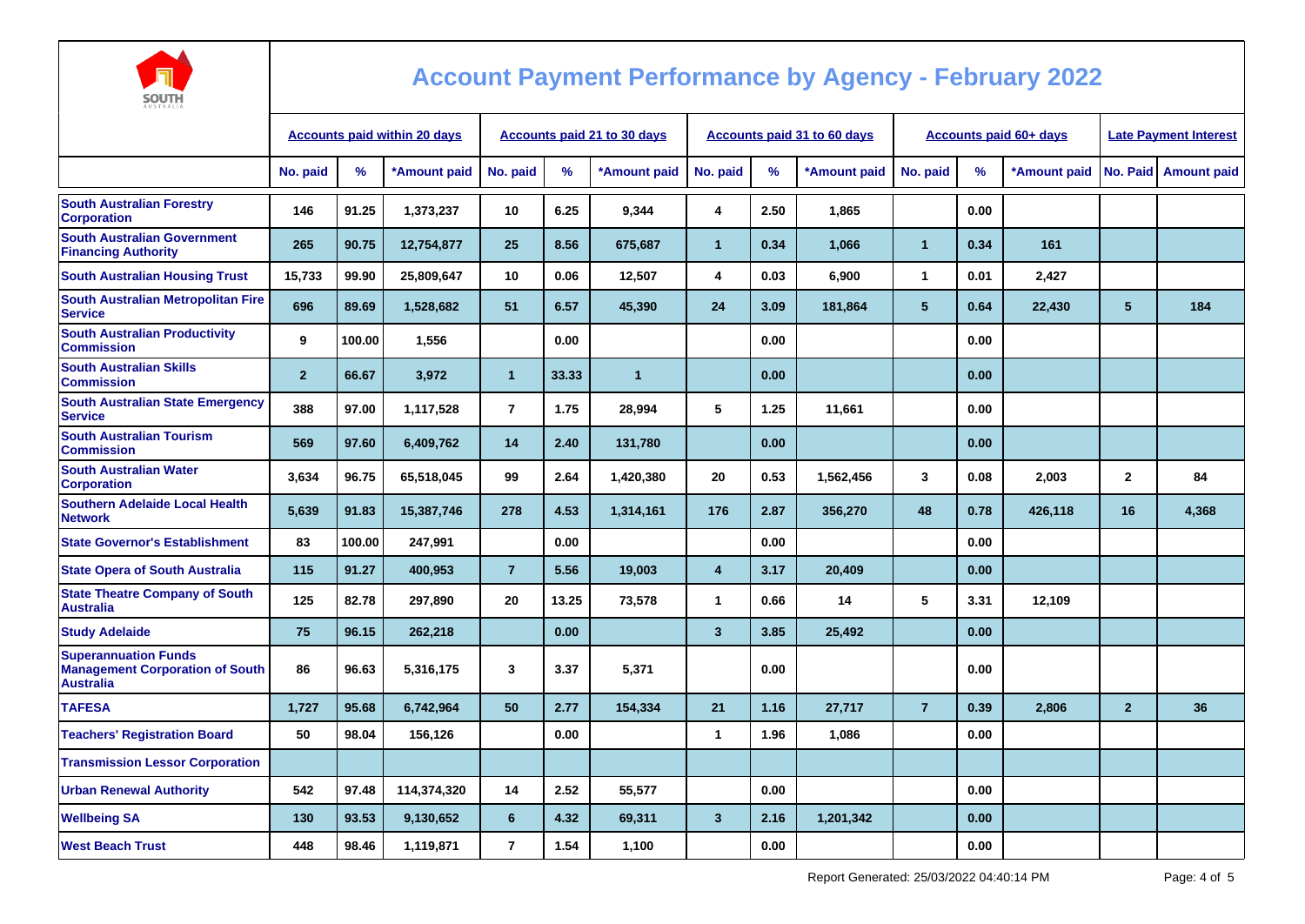

| <b>Accounts paid within 20 days</b> |        |              | <b>Accounts paid 21 to 30 days</b> |       |                |                         |      |              |                                    |      | <b>Late Payment Interest</b> |                               |                    |
|-------------------------------------|--------|--------------|------------------------------------|-------|----------------|-------------------------|------|--------------|------------------------------------|------|------------------------------|-------------------------------|--------------------|
| No. paid                            | $\%$   | *Amount paid | No. paid                           | %     | *Amount paid   | No. paid                | %    | *Amount paid | No. paid                           | %    | *Amount paid                 |                               | <b>Amount paid</b> |
| 146                                 | 91.25  | 1,373,237    | 10                                 | 6.25  | 9,344          | 4                       | 2.50 | 1,865        |                                    | 0.00 |                              |                               |                    |
| 265                                 | 90.75  | 12,754,877   | 25                                 | 8.56  | 675.687        | $\blacktriangleleft$    | 0.34 | 1,066        | $\mathbf{1}$                       | 0.34 | 161                          |                               |                    |
| 15,733                              | 99.90  | 25,809,647   | 10                                 | 0.06  | 12,507         | 4                       | 0.03 | 6,900        | 1                                  | 0.01 | 2,427                        |                               |                    |
| 696                                 | 89.69  | 1,528,682    | 51                                 | 6.57  | 45,390         | 24                      | 3.09 | 181,864      | 5                                  | 0.64 | 22,430                       | 5                             | 184                |
| 9                                   | 100.00 | 1,556        |                                    | 0.00  |                |                         | 0.00 |              |                                    | 0.00 |                              |                               |                    |
| $\overline{2}$                      | 66.67  | 3,972        | $\overline{1}$                     | 33.33 | $\overline{1}$ |                         | 0.00 |              |                                    | 0.00 |                              |                               |                    |
| 388                                 | 97.00  | 1,117,528    | $\overline{7}$                     | 1.75  | 28,994         | 5                       | 1.25 | 11,661       |                                    | 0.00 |                              |                               |                    |
| 569                                 | 97.60  | 6,409,762    | 14                                 | 2.40  | 131,780        |                         | 0.00 |              |                                    | 0.00 |                              |                               |                    |
| 3,634                               | 96.75  | 65,518,045   | 99                                 | 2.64  | 1,420,380      | 20                      | 0.53 | 1,562,456    | 3                                  | 0.08 | 2,003                        | $\mathbf{2}$                  | 84                 |
| 5,639                               | 91.83  | 15,387,746   | 278                                | 4.53  | 1,314,161      | 176                     | 2.87 | 356,270      | 48                                 | 0.78 | 426,118                      | 16                            | 4,368              |
| 83                                  | 100.00 | 247,991      |                                    | 0.00  |                |                         | 0.00 |              |                                    | 0.00 |                              |                               |                    |
| 115                                 | 91.27  | 400.953      | $\overline{7}$                     | 5.56  | 19.003         | $\overline{4}$          | 3.17 | 20,409       |                                    | 0.00 |                              |                               |                    |
| 125                                 | 82.78  | 297,890      | 20                                 | 13.25 | 73,578         | $\mathbf{1}$            | 0.66 | 14           | 5                                  | 3.31 | 12,109                       |                               |                    |
| 75                                  | 96.15  | 262,218      |                                    | 0.00  |                | $\mathbf{3}$            | 3.85 | 25,492       |                                    | 0.00 |                              |                               |                    |
| 86                                  | 96.63  | 5,316,175    | 3                                  | 3.37  | 5,371          |                         | 0.00 |              |                                    | 0.00 |                              |                               |                    |
| 1,727                               | 95.68  | 6,742,964    | 50                                 | 2.77  | 154,334        | 21                      | 1.16 | 27,717       | $\overline{7}$                     | 0.39 | 2,806                        | $\overline{2}$                | 36                 |
| 50                                  | 98.04  | 156,126      |                                    | 0.00  |                | 1                       | 1.96 | 1,086        |                                    | 0.00 |                              |                               |                    |
|                                     |        |              |                                    |       |                |                         |      |              |                                    |      |                              |                               |                    |
| 542                                 | 97.48  | 114,374,320  | 14                                 | 2.52  | 55,577         |                         | 0.00 |              |                                    | 0.00 |                              |                               |                    |
| 130                                 | 93.53  | 9,130,652    | $6\phantom{1}$                     | 4.32  | 69,311         | $\overline{\mathbf{3}}$ | 2.16 | 1,201,342    |                                    | 0.00 |                              |                               |                    |
| 448                                 | 98.46  | 1,119,871    | $\overline{7}$                     | 1.54  | 1,100          |                         | 0.00 |              |                                    | 0.00 |                              |                               |                    |
|                                     |        |              |                                    |       |                |                         |      |              | <b>Accounts paid 31 to 60 days</b> |      |                              | <b>Accounts paid 60+ days</b> | No. Paid           |